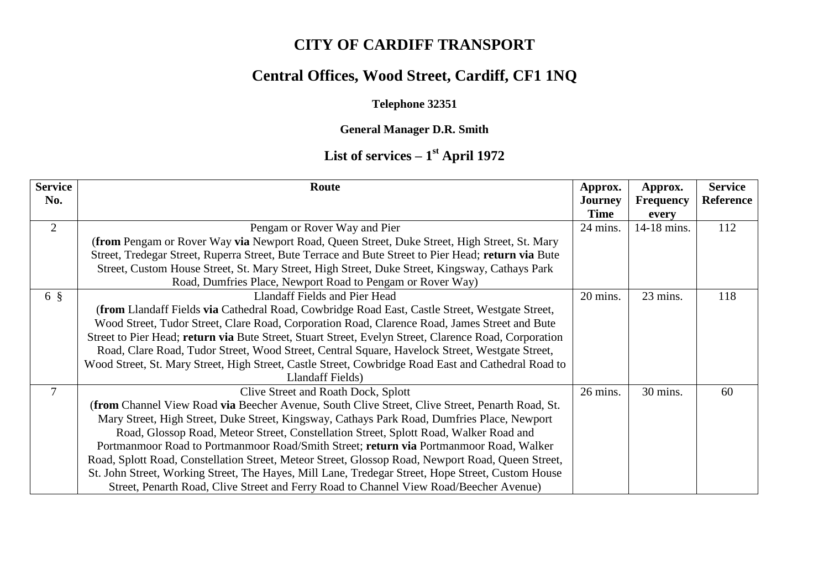# **CITY OF CARDIFF TRANSPORT**

## **Central Offices, Wood Street, Cardiff, CF1 1NQ**

#### **Telephone 32351**

#### **General Manager D.R. Smith**

### **List of services – 1 st April 1972**

| <b>Service</b> | Route                                                                                                 | Approx.        | Approx.          | <b>Service</b> |
|----------------|-------------------------------------------------------------------------------------------------------|----------------|------------------|----------------|
| No.            |                                                                                                       | <b>Journey</b> | <b>Frequency</b> | Reference      |
|                |                                                                                                       | <b>Time</b>    | every            |                |
| $\overline{2}$ | Pengam or Rover Way and Pier                                                                          | 24 mins.       | 14-18 mins.      | 112            |
|                | <b>(from Pengam or Rover Way via Newport Road, Queen Street, Duke Street, High Street, St. Mary</b>   |                |                  |                |
|                | Street, Tredegar Street, Ruperra Street, Bute Terrace and Bute Street to Pier Head; return via Bute   |                |                  |                |
|                | Street, Custom House Street, St. Mary Street, High Street, Duke Street, Kingsway, Cathays Park        |                |                  |                |
|                | Road, Dumfries Place, Newport Road to Pengam or Rover Way)                                            |                |                  |                |
| $6 \S$         | Llandaff Fields and Pier Head                                                                         | 20 mins.       | 23 mins.         | 118            |
|                | (from Llandaff Fields via Cathedral Road, Cowbridge Road East, Castle Street, Westgate Street,        |                |                  |                |
|                | Wood Street, Tudor Street, Clare Road, Corporation Road, Clarence Road, James Street and Bute         |                |                  |                |
|                | Street to Pier Head; return via Bute Street, Stuart Street, Evelyn Street, Clarence Road, Corporation |                |                  |                |
|                | Road, Clare Road, Tudor Street, Wood Street, Central Square, Havelock Street, Westgate Street,        |                |                  |                |
|                | Wood Street, St. Mary Street, High Street, Castle Street, Cowbridge Road East and Cathedral Road to   |                |                  |                |
|                | Llandaff Fields)                                                                                      |                |                  |                |
| 7              | Clive Street and Roath Dock, Splott                                                                   | 26 mins.       | 30 mins.         | 60             |
|                | (from Channel View Road via Beecher Avenue, South Clive Street, Clive Street, Penarth Road, St.       |                |                  |                |
|                | Mary Street, High Street, Duke Street, Kingsway, Cathays Park Road, Dumfries Place, Newport           |                |                  |                |
|                | Road, Glossop Road, Meteor Street, Constellation Street, Splott Road, Walker Road and                 |                |                  |                |
|                | Portmanmoor Road to Portmanmoor Road/Smith Street; return via Portmanmoor Road, Walker                |                |                  |                |
|                | Road, Splott Road, Constellation Street, Meteor Street, Glossop Road, Newport Road, Queen Street,     |                |                  |                |
|                | St. John Street, Working Street, The Hayes, Mill Lane, Tredegar Street, Hope Street, Custom House     |                |                  |                |
|                | Street, Penarth Road, Clive Street and Ferry Road to Channel View Road/Beecher Avenue)                |                |                  |                |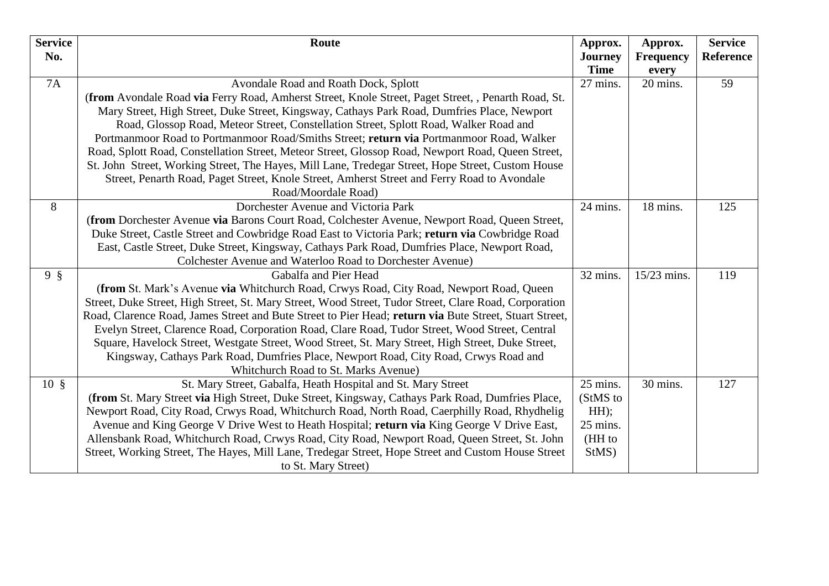| <b>Service</b><br>No. | Route                                                                                                  | Approx.<br><b>Journey</b><br><b>Time</b> | Approx.<br><b>Frequency</b><br>every | <b>Service</b><br><b>Reference</b> |
|-----------------------|--------------------------------------------------------------------------------------------------------|------------------------------------------|--------------------------------------|------------------------------------|
| 7A                    | Avondale Road and Roath Dock, Splott                                                                   | 27 mins.                                 | 20 mins.                             | 59                                 |
|                       | (from Avondale Road via Ferry Road, Amherst Street, Knole Street, Paget Street, , Penarth Road, St.    |                                          |                                      |                                    |
|                       | Mary Street, High Street, Duke Street, Kingsway, Cathays Park Road, Dumfries Place, Newport            |                                          |                                      |                                    |
|                       | Road, Glossop Road, Meteor Street, Constellation Street, Splott Road, Walker Road and                  |                                          |                                      |                                    |
|                       | Portmanmoor Road to Portmanmoor Road/Smiths Street; return via Portmanmoor Road, Walker                |                                          |                                      |                                    |
|                       | Road, Splott Road, Constellation Street, Meteor Street, Glossop Road, Newport Road, Queen Street,      |                                          |                                      |                                    |
|                       | St. John Street, Working Street, The Hayes, Mill Lane, Tredegar Street, Hope Street, Custom House      |                                          |                                      |                                    |
|                       | Street, Penarth Road, Paget Street, Knole Street, Amherst Street and Ferry Road to Avondale            |                                          |                                      |                                    |
|                       | Road/Moordale Road)                                                                                    |                                          |                                      |                                    |
| 8                     | Dorchester Avenue and Victoria Park                                                                    | 24 mins.                                 | 18 mins.                             | 125                                |
|                       | (from Dorchester Avenue via Barons Court Road, Colchester Avenue, Newport Road, Queen Street,          |                                          |                                      |                                    |
|                       | Duke Street, Castle Street and Cowbridge Road East to Victoria Park; return via Cowbridge Road         |                                          |                                      |                                    |
|                       | East, Castle Street, Duke Street, Kingsway, Cathays Park Road, Dumfries Place, Newport Road,           |                                          |                                      |                                    |
|                       | Colchester Avenue and Waterloo Road to Dorchester Avenue)                                              |                                          |                                      |                                    |
| $9 \S$                | Gabalfa and Pier Head                                                                                  | 32 mins.                                 | 15/23 mins.                          | 119                                |
|                       | (from St. Mark's Avenue via Whitchurch Road, Crwys Road, City Road, Newport Road, Queen                |                                          |                                      |                                    |
|                       | Street, Duke Street, High Street, St. Mary Street, Wood Street, Tudor Street, Clare Road, Corporation  |                                          |                                      |                                    |
|                       | Road, Clarence Road, James Street and Bute Street to Pier Head; return via Bute Street, Stuart Street, |                                          |                                      |                                    |
|                       | Evelyn Street, Clarence Road, Corporation Road, Clare Road, Tudor Street, Wood Street, Central         |                                          |                                      |                                    |
|                       | Square, Havelock Street, Westgate Street, Wood Street, St. Mary Street, High Street, Duke Street,      |                                          |                                      |                                    |
|                       | Kingsway, Cathays Park Road, Dumfries Place, Newport Road, City Road, Crwys Road and                   |                                          |                                      |                                    |
|                       | Whitchurch Road to St. Marks Avenue)                                                                   |                                          |                                      |                                    |
| $10 \text{ }$ \$      | St. Mary Street, Gabalfa, Heath Hospital and St. Mary Street                                           | 25 mins.                                 | 30 mins.                             | 127                                |
|                       | (from St. Mary Street via High Street, Duke Street, Kingsway, Cathays Park Road, Dumfries Place,       | (StMS to                                 |                                      |                                    |
|                       | Newport Road, City Road, Crwys Road, Whitchurch Road, North Road, Caerphilly Road, Rhydhelig           | HH);                                     |                                      |                                    |
|                       | Avenue and King George V Drive West to Heath Hospital; return via King George V Drive East,            | 25 mins.                                 |                                      |                                    |
|                       | Allensbank Road, Whitchurch Road, Crwys Road, City Road, Newport Road, Queen Street, St. John          | (HH to                                   |                                      |                                    |
|                       | Street, Working Street, The Hayes, Mill Lane, Tredegar Street, Hope Street and Custom House Street     | StMS)                                    |                                      |                                    |
|                       | to St. Mary Street)                                                                                    |                                          |                                      |                                    |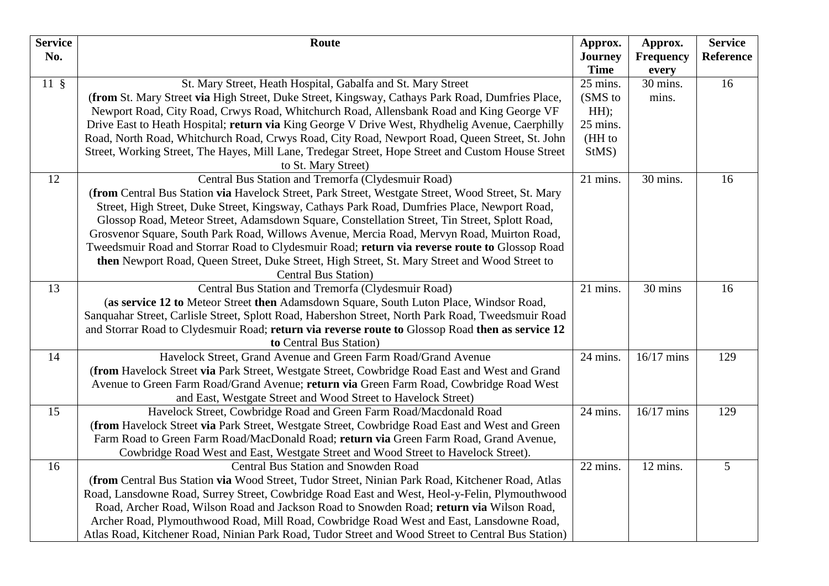| <b>Service</b> | Route                                                                                                                     | Approx.        | Approx.          | <b>Service</b>   |
|----------------|---------------------------------------------------------------------------------------------------------------------------|----------------|------------------|------------------|
| No.            |                                                                                                                           | <b>Journey</b> | <b>Frequency</b> | <b>Reference</b> |
|                |                                                                                                                           | <b>Time</b>    | every            |                  |
| $11 \text{ }$  | St. Mary Street, Heath Hospital, Gabalfa and St. Mary Street                                                              | 25 mins.       | 30 mins.         | 16               |
|                | (from St. Mary Street via High Street, Duke Street, Kingsway, Cathays Park Road, Dumfries Place,                          | (SMS to        | mins.            |                  |
|                | Newport Road, City Road, Crwys Road, Whitchurch Road, Allensbank Road and King George VF                                  | HH);           |                  |                  |
|                | Drive East to Heath Hospital; return via King George V Drive West, Rhydhelig Avenue, Caerphilly                           | 25 mins.       |                  |                  |
|                | Road, North Road, Whitchurch Road, Crwys Road, City Road, Newport Road, Queen Street, St. John                            | (HH to         |                  |                  |
|                | Street, Working Street, The Hayes, Mill Lane, Tredegar Street, Hope Street and Custom House Street<br>to St. Mary Street) | StMS)          |                  |                  |
| 12             | Central Bus Station and Tremorfa (Clydesmuir Road)                                                                        | 21 mins.       | 30 mins.         | 16               |
|                | (from Central Bus Station via Havelock Street, Park Street, Westgate Street, Wood Street, St. Mary                        |                |                  |                  |
|                | Street, High Street, Duke Street, Kingsway, Cathays Park Road, Dumfries Place, Newport Road,                              |                |                  |                  |
|                | Glossop Road, Meteor Street, Adamsdown Square, Constellation Street, Tin Street, Splott Road,                             |                |                  |                  |
|                | Grosvenor Square, South Park Road, Willows Avenue, Mercia Road, Mervyn Road, Muirton Road,                                |                |                  |                  |
|                | Tweedsmuir Road and Storrar Road to Clydesmuir Road; return via reverse route to Glossop Road                             |                |                  |                  |
|                | then Newport Road, Queen Street, Duke Street, High Street, St. Mary Street and Wood Street to                             |                |                  |                  |
|                | <b>Central Bus Station</b> )                                                                                              |                |                  |                  |
| 13             | Central Bus Station and Tremorfa (Clydesmuir Road)                                                                        | 21 mins.       | 30 mins          | 16               |
|                | (as service 12 to Meteor Street then Adamsdown Square, South Luton Place, Windsor Road,                                   |                |                  |                  |
|                | Sanquahar Street, Carlisle Street, Splott Road, Habershon Street, North Park Road, Tweedsmuir Road                        |                |                  |                  |
|                | and Storrar Road to Clydesmuir Road; return via reverse route to Glossop Road then as service 12                          |                |                  |                  |
|                | to Central Bus Station)                                                                                                   |                |                  |                  |
| 14             | Havelock Street, Grand Avenue and Green Farm Road/Grand Avenue                                                            | 24 mins.       | $16/17$ mins     | 129              |
|                | (from Havelock Street via Park Street, Westgate Street, Cowbridge Road East and West and Grand                            |                |                  |                  |
|                | Avenue to Green Farm Road/Grand Avenue; return via Green Farm Road, Cowbridge Road West                                   |                |                  |                  |
|                | and East, Westgate Street and Wood Street to Havelock Street)                                                             |                |                  |                  |
| 15             | Havelock Street, Cowbridge Road and Green Farm Road/Macdonald Road                                                        | 24 mins.       | 16/17 mins       | 129              |
|                | (from Havelock Street via Park Street, Westgate Street, Cowbridge Road East and West and Green                            |                |                  |                  |
|                | Farm Road to Green Farm Road/MacDonald Road; return via Green Farm Road, Grand Avenue,                                    |                |                  |                  |
|                | Cowbridge Road West and East, Westgate Street and Wood Street to Havelock Street).                                        |                |                  |                  |
| 16             | <b>Central Bus Station and Snowden Road</b>                                                                               | 22 mins.       | 12 mins.         | 5                |
|                | (from Central Bus Station via Wood Street, Tudor Street, Ninian Park Road, Kitchener Road, Atlas                          |                |                  |                  |
|                | Road, Lansdowne Road, Surrey Street, Cowbridge Road East and West, Heol-y-Felin, Plymouthwood                             |                |                  |                  |
|                | Road, Archer Road, Wilson Road and Jackson Road to Snowden Road; return via Wilson Road,                                  |                |                  |                  |
|                | Archer Road, Plymouthwood Road, Mill Road, Cowbridge Road West and East, Lansdowne Road,                                  |                |                  |                  |
|                | Atlas Road, Kitchener Road, Ninian Park Road, Tudor Street and Wood Street to Central Bus Station)                        |                |                  |                  |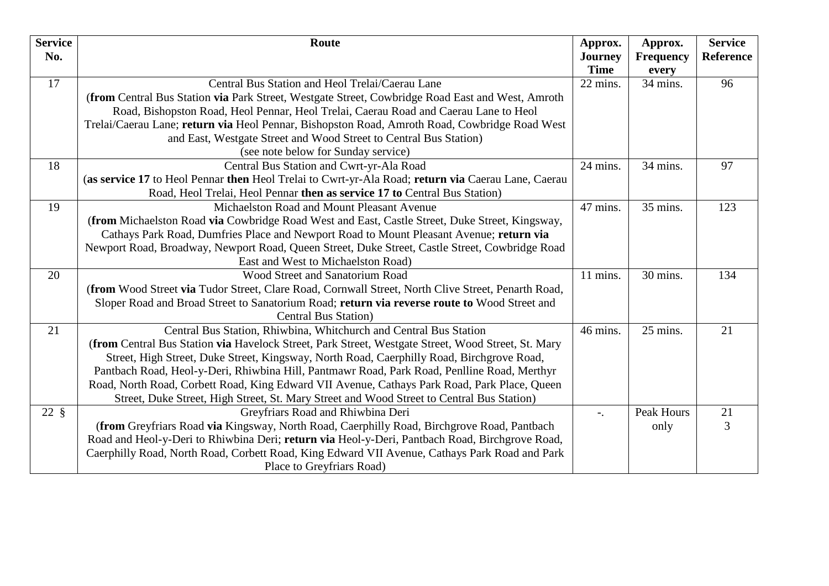| <b>Service</b><br>No. | Route                                                                                              | Approx.<br><b>Journey</b><br><b>Time</b> | Approx.<br><b>Frequency</b><br>every | <b>Service</b><br>Reference |
|-----------------------|----------------------------------------------------------------------------------------------------|------------------------------------------|--------------------------------------|-----------------------------|
| 17                    | Central Bus Station and Heol Trelai/Caerau Lane                                                    | 22 mins.                                 | 34 mins.                             | 96                          |
|                       |                                                                                                    |                                          |                                      |                             |
|                       | (from Central Bus Station via Park Street, Westgate Street, Cowbridge Road East and West, Amroth   |                                          |                                      |                             |
|                       | Road, Bishopston Road, Heol Pennar, Heol Trelai, Caerau Road and Caerau Lane to Heol               |                                          |                                      |                             |
|                       | Trelai/Caerau Lane; return via Heol Pennar, Bishopston Road, Amroth Road, Cowbridge Road West      |                                          |                                      |                             |
|                       | and East, Westgate Street and Wood Street to Central Bus Station)                                  |                                          |                                      |                             |
|                       | (see note below for Sunday service)                                                                |                                          |                                      |                             |
| 18                    | Central Bus Station and Cwrt-yr-Ala Road                                                           | 24 mins.                                 | 34 mins.                             | 97                          |
|                       | (as service 17 to Heol Pennar then Heol Trelai to Cwrt-yr-Ala Road; return via Caerau Lane, Caerau |                                          |                                      |                             |
|                       | Road, Heol Trelai, Heol Pennar then as service 17 to Central Bus Station)                          |                                          |                                      |                             |
| 19                    | Michaelston Road and Mount Pleasant Avenue                                                         | 47 mins.                                 | 35 mins.                             | 123                         |
|                       | (from Michaelston Road via Cowbridge Road West and East, Castle Street, Duke Street, Kingsway,     |                                          |                                      |                             |
|                       | Cathays Park Road, Dumfries Place and Newport Road to Mount Pleasant Avenue; return via            |                                          |                                      |                             |
|                       | Newport Road, Broadway, Newport Road, Queen Street, Duke Street, Castle Street, Cowbridge Road     |                                          |                                      |                             |
|                       | East and West to Michaelston Road)                                                                 |                                          |                                      |                             |
| 20                    | Wood Street and Sanatorium Road                                                                    | 11 mins.                                 | 30 mins.                             | 134                         |
|                       | (from Wood Street via Tudor Street, Clare Road, Cornwall Street, North Clive Street, Penarth Road, |                                          |                                      |                             |
|                       | Sloper Road and Broad Street to Sanatorium Road; return via reverse route to Wood Street and       |                                          |                                      |                             |
|                       | <b>Central Bus Station</b> )                                                                       |                                          |                                      |                             |
| 21                    | Central Bus Station, Rhiwbina, Whitchurch and Central Bus Station                                  | 46 mins.                                 | $25$ mins.                           | 21                          |
|                       | (from Central Bus Station via Havelock Street, Park Street, Westgate Street, Wood Street, St. Mary |                                          |                                      |                             |
|                       | Street, High Street, Duke Street, Kingsway, North Road, Caerphilly Road, Birchgrove Road,          |                                          |                                      |                             |
|                       | Pantbach Road, Heol-y-Deri, Rhiwbina Hill, Pantmawr Road, Park Road, Penlline Road, Merthyr        |                                          |                                      |                             |
|                       | Road, North Road, Corbett Road, King Edward VII Avenue, Cathays Park Road, Park Place, Queen       |                                          |                                      |                             |
|                       | Street, Duke Street, High Street, St. Mary Street and Wood Street to Central Bus Station)          |                                          |                                      |                             |
| $22 \text{ }$         | Greyfriars Road and Rhiwbina Deri                                                                  | $-$ .                                    | <b>Peak Hours</b>                    | 21                          |
|                       | (from Greyfriars Road via Kingsway, North Road, Caerphilly Road, Birchgrove Road, Pantbach         |                                          | only                                 | 3                           |
|                       | Road and Heol-y-Deri to Rhiwbina Deri; return via Heol-y-Deri, Pantbach Road, Birchgrove Road,     |                                          |                                      |                             |
|                       | Caerphilly Road, North Road, Corbett Road, King Edward VII Avenue, Cathays Park Road and Park      |                                          |                                      |                             |
|                       | Place to Greyfriars Road)                                                                          |                                          |                                      |                             |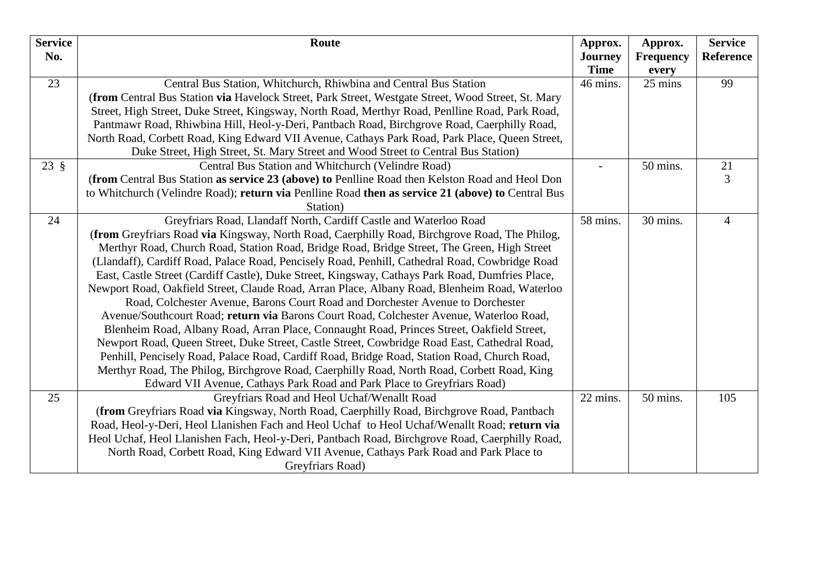| <b>Service</b> | Route                                                                                              | Approx.        | Approx.          | <b>Service</b> |
|----------------|----------------------------------------------------------------------------------------------------|----------------|------------------|----------------|
| No.            |                                                                                                    | <b>Journey</b> | <b>Frequency</b> | Reference      |
|                |                                                                                                    | <b>Time</b>    | every            |                |
| 23             | Central Bus Station, Whitchurch, Rhiwbina and Central Bus Station                                  | 46 mins.       | 25 mins          | 99             |
|                | (from Central Bus Station via Havelock Street, Park Street, Westgate Street, Wood Street, St. Mary |                |                  |                |
|                | Street, High Street, Duke Street, Kingsway, North Road, Merthyr Road, Penlline Road, Park Road,    |                |                  |                |
|                | Pantmawr Road, Rhiwbina Hill, Heol-y-Deri, Pantbach Road, Birchgrove Road, Caerphilly Road,        |                |                  |                |
|                | North Road, Corbett Road, King Edward VII Avenue, Cathays Park Road, Park Place, Queen Street,     |                |                  |                |
|                | Duke Street, High Street, St. Mary Street and Wood Street to Central Bus Station)                  |                |                  |                |
| $23 \text{ }$  | Central Bus Station and Whitchurch (Velindre Road)                                                 |                | 50 mins.         | 21             |
|                | (from Central Bus Station as service 23 (above) to Penlline Road then Kelston Road and Heol Don    |                |                  | 3              |
|                | to Whitchurch (Velindre Road); return via Penlline Road then as service 21 (above) to Central Bus  |                |                  |                |
|                | Station)                                                                                           |                |                  |                |
| 24             | Greyfriars Road, Llandaff North, Cardiff Castle and Waterloo Road                                  | 58 mins.       | 30 mins.         | $\overline{4}$ |
|                | (from Greyfriars Road via Kingsway, North Road, Caerphilly Road, Birchgrove Road, The Philog,      |                |                  |                |
|                | Merthyr Road, Church Road, Station Road, Bridge Road, Bridge Street, The Green, High Street        |                |                  |                |
|                | (Llandaff), Cardiff Road, Palace Road, Pencisely Road, Penhill, Cathedral Road, Cowbridge Road     |                |                  |                |
|                | East, Castle Street (Cardiff Castle), Duke Street, Kingsway, Cathays Park Road, Dumfries Place,    |                |                  |                |
|                | Newport Road, Oakfield Street, Claude Road, Arran Place, Albany Road, Blenheim Road, Waterloo      |                |                  |                |
|                | Road, Colchester Avenue, Barons Court Road and Dorchester Avenue to Dorchester                     |                |                  |                |
|                | Avenue/Southcourt Road; return via Barons Court Road, Colchester Avenue, Waterloo Road,            |                |                  |                |
|                | Blenheim Road, Albany Road, Arran Place, Connaught Road, Princes Street, Oakfield Street,          |                |                  |                |
|                | Newport Road, Queen Street, Duke Street, Castle Street, Cowbridge Road East, Cathedral Road,       |                |                  |                |
|                | Penhill, Pencisely Road, Palace Road, Cardiff Road, Bridge Road, Station Road, Church Road,        |                |                  |                |
|                | Merthyr Road, The Philog, Birchgrove Road, Caerphilly Road, North Road, Corbett Road, King         |                |                  |                |
|                | Edward VII Avenue, Cathays Park Road and Park Place to Greyfriars Road)                            |                |                  |                |
| 25             | Greyfriars Road and Heol Uchaf/Wenallt Road                                                        | 22 mins.       | 50 mins.         | 105            |
|                | (from Greyfriars Road via Kingsway, North Road, Caerphilly Road, Birchgrove Road, Pantbach         |                |                  |                |
|                | Road, Heol-y-Deri, Heol Llanishen Fach and Heol Uchaf to Heol Uchaf/Wenallt Road; return via       |                |                  |                |
|                | Heol Uchaf, Heol Llanishen Fach, Heol-y-Deri, Pantbach Road, Birchgrove Road, Caerphilly Road,     |                |                  |                |
|                | North Road, Corbett Road, King Edward VII Avenue, Cathays Park Road and Park Place to              |                |                  |                |
|                | Greyfriars Road)                                                                                   |                |                  |                |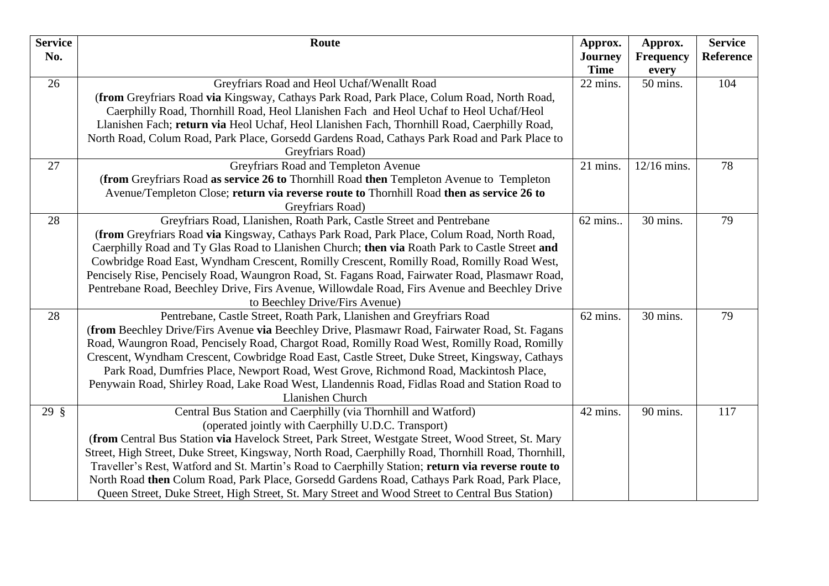| Service          | Route                                                                                                                                     | Approx.                 | Approx.           | <b>Service</b> |
|------------------|-------------------------------------------------------------------------------------------------------------------------------------------|-------------------------|-------------------|----------------|
| No.              |                                                                                                                                           | <b>Journey</b>          | <b>Frequency</b>  | Reference      |
|                  |                                                                                                                                           | <b>Time</b><br>22 mins. | every<br>50 mins. | 104            |
| 26               | Greyfriars Road and Heol Uchaf/Wenallt Road<br>(from Greyfriars Road via Kingsway, Cathays Park Road, Park Place, Colum Road, North Road, |                         |                   |                |
|                  | Caerphilly Road, Thornhill Road, Heol Llanishen Fach and Heol Uchaf to Heol Uchaf/Heol                                                    |                         |                   |                |
|                  | Llanishen Fach; return via Heol Uchaf, Heol Llanishen Fach, Thornhill Road, Caerphilly Road,                                              |                         |                   |                |
|                  | North Road, Colum Road, Park Place, Gorsedd Gardens Road, Cathays Park Road and Park Place to                                             |                         |                   |                |
|                  | Greyfriars Road)                                                                                                                          |                         |                   |                |
| 27               | Greyfriars Road and Templeton Avenue                                                                                                      | 21 mins.                | 12/16 mins.       | 78             |
|                  | (from Greyfriars Road as service 26 to Thornhill Road then Templeton Avenue to Templeton                                                  |                         |                   |                |
|                  | Avenue/Templeton Close; return via reverse route to Thornhill Road then as service 26 to                                                  |                         |                   |                |
|                  | Greyfriars Road)                                                                                                                          |                         |                   |                |
| 28               | Greyfriars Road, Llanishen, Roath Park, Castle Street and Pentrebane                                                                      | 62 mins                 | 30 mins.          | 79             |
|                  | (from Greyfriars Road via Kingsway, Cathays Park Road, Park Place, Colum Road, North Road,                                                |                         |                   |                |
|                  | Caerphilly Road and Ty Glas Road to Llanishen Church; then via Roath Park to Castle Street and                                            |                         |                   |                |
|                  | Cowbridge Road East, Wyndham Crescent, Romilly Crescent, Romilly Road, Romilly Road West,                                                 |                         |                   |                |
|                  | Pencisely Rise, Pencisely Road, Waungron Road, St. Fagans Road, Fairwater Road, Plasmawr Road,                                            |                         |                   |                |
|                  | Pentrebane Road, Beechley Drive, Firs Avenue, Willowdale Road, Firs Avenue and Beechley Drive                                             |                         |                   |                |
|                  | to Beechley Drive/Firs Avenue)                                                                                                            |                         |                   |                |
| 28               | Pentrebane, Castle Street, Roath Park, Llanishen and Greyfriars Road                                                                      | 62 mins.                | 30 mins.          | 79             |
|                  | (from Beechley Drive/Firs Avenue via Beechley Drive, Plasmawr Road, Fairwater Road, St. Fagans                                            |                         |                   |                |
|                  | Road, Waungron Road, Pencisely Road, Chargot Road, Romilly Road West, Romilly Road, Romilly                                               |                         |                   |                |
|                  | Crescent, Wyndham Crescent, Cowbridge Road East, Castle Street, Duke Street, Kingsway, Cathays                                            |                         |                   |                |
|                  | Park Road, Dumfries Place, Newport Road, West Grove, Richmond Road, Mackintosh Place,                                                     |                         |                   |                |
|                  | Penywain Road, Shirley Road, Lake Road West, Llandennis Road, Fidlas Road and Station Road to                                             |                         |                   |                |
|                  | Llanishen Church                                                                                                                          |                         |                   |                |
| $29 \text{ }$ \$ | Central Bus Station and Caerphilly (via Thornhill and Watford)                                                                            | 42 mins.                | 90 mins.          | 117            |
|                  | (operated jointly with Caerphilly U.D.C. Transport)                                                                                       |                         |                   |                |
|                  | (from Central Bus Station via Havelock Street, Park Street, Westgate Street, Wood Street, St. Mary                                        |                         |                   |                |
|                  | Street, High Street, Duke Street, Kingsway, North Road, Caerphilly Road, Thornhill Road, Thornhill,                                       |                         |                   |                |
|                  | Traveller's Rest, Watford and St. Martin's Road to Caerphilly Station; return via reverse route to                                        |                         |                   |                |
|                  | North Road then Colum Road, Park Place, Gorsedd Gardens Road, Cathays Park Road, Park Place,                                              |                         |                   |                |
|                  | Queen Street, Duke Street, High Street, St. Mary Street and Wood Street to Central Bus Station)                                           |                         |                   |                |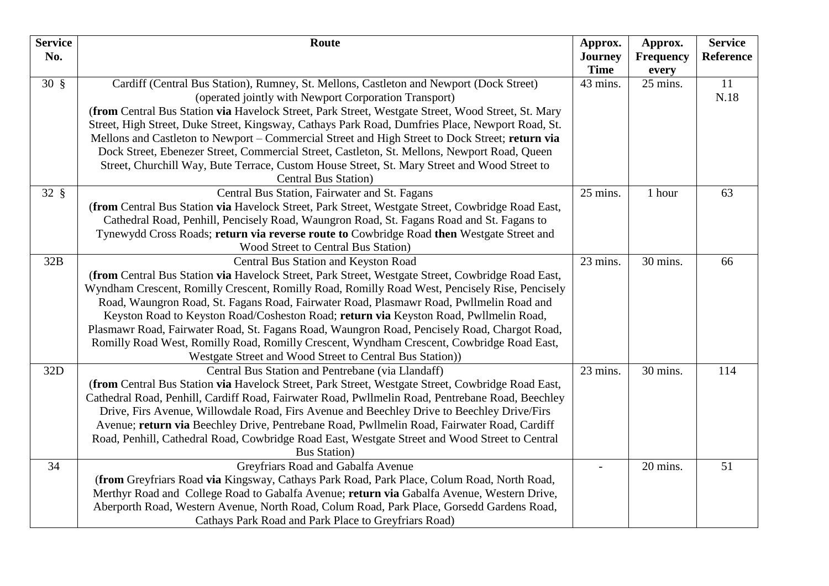| <b>Service</b><br>No. | Route                                                                                                                                   | Approx.<br><b>Journey</b><br><b>Time</b> | Approx.<br>Frequency<br>every | <b>Service</b><br>Reference |
|-----------------------|-----------------------------------------------------------------------------------------------------------------------------------------|------------------------------------------|-------------------------------|-----------------------------|
| $30 \text{ }$         | Cardiff (Central Bus Station), Rumney, St. Mellons, Castleton and Newport (Dock Street)                                                 | 43 mins.                                 | 25 mins.                      | 11                          |
|                       | (operated jointly with Newport Corporation Transport)                                                                                   |                                          |                               | N.18                        |
|                       | (from Central Bus Station via Havelock Street, Park Street, Westgate Street, Wood Street, St. Mary                                      |                                          |                               |                             |
|                       | Street, High Street, Duke Street, Kingsway, Cathays Park Road, Dumfries Place, Newport Road, St.                                        |                                          |                               |                             |
|                       | Mellons and Castleton to Newport – Commercial Street and High Street to Dock Street; return via                                         |                                          |                               |                             |
|                       | Dock Street, Ebenezer Street, Commercial Street, Castleton, St. Mellons, Newport Road, Queen                                            |                                          |                               |                             |
|                       | Street, Churchill Way, Bute Terrace, Custom House Street, St. Mary Street and Wood Street to                                            |                                          |                               |                             |
|                       | <b>Central Bus Station</b> )                                                                                                            |                                          |                               |                             |
| $32 \text{ }$         | Central Bus Station, Fairwater and St. Fagans                                                                                           | 25 mins.                                 | 1 hour                        | 63                          |
|                       | (from Central Bus Station via Havelock Street, Park Street, Westgate Street, Cowbridge Road East,                                       |                                          |                               |                             |
|                       | Cathedral Road, Penhill, Pencisely Road, Waungron Road, St. Fagans Road and St. Fagans to                                               |                                          |                               |                             |
|                       | Tynewydd Cross Roads; return via reverse route to Cowbridge Road then Westgate Street and<br><b>Wood Street to Central Bus Station)</b> |                                          |                               |                             |
| 32B                   | Central Bus Station and Keyston Road                                                                                                    | 23 mins.                                 | 30 mins.                      | 66                          |
|                       | (from Central Bus Station via Havelock Street, Park Street, Westgate Street, Cowbridge Road East,                                       |                                          |                               |                             |
|                       | Wyndham Crescent, Romilly Crescent, Romilly Road, Romilly Road West, Pencisely Rise, Pencisely                                          |                                          |                               |                             |
|                       | Road, Waungron Road, St. Fagans Road, Fairwater Road, Plasmawr Road, Pwllmelin Road and                                                 |                                          |                               |                             |
|                       | Keyston Road to Keyston Road/Cosheston Road; return via Keyston Road, Pwllmelin Road,                                                   |                                          |                               |                             |
|                       | Plasmawr Road, Fairwater Road, St. Fagans Road, Waungron Road, Pencisely Road, Chargot Road,                                            |                                          |                               |                             |
|                       | Romilly Road West, Romilly Road, Romilly Crescent, Wyndham Crescent, Cowbridge Road East,                                               |                                          |                               |                             |
|                       | Westgate Street and Wood Street to Central Bus Station))                                                                                |                                          |                               |                             |
| 32D                   | Central Bus Station and Pentrebane (via Llandaff)                                                                                       | 23 mins.                                 | 30 mins.                      | 114                         |
|                       | (from Central Bus Station via Havelock Street, Park Street, Westgate Street, Cowbridge Road East,                                       |                                          |                               |                             |
|                       | Cathedral Road, Penhill, Cardiff Road, Fairwater Road, Pwllmelin Road, Pentrebane Road, Beechley                                        |                                          |                               |                             |
|                       | Drive, Firs Avenue, Willowdale Road, Firs Avenue and Beechley Drive to Beechley Drive/Firs                                              |                                          |                               |                             |
|                       | Avenue; return via Beechley Drive, Pentrebane Road, Pwllmelin Road, Fairwater Road, Cardiff                                             |                                          |                               |                             |
|                       | Road, Penhill, Cathedral Road, Cowbridge Road East, Westgate Street and Wood Street to Central                                          |                                          |                               |                             |
|                       | <b>Bus Station</b> )                                                                                                                    |                                          |                               |                             |
| 34                    | Greyfriars Road and Gabalfa Avenue                                                                                                      |                                          | 20 mins.                      | 51                          |
|                       | (from Greyfriars Road via Kingsway, Cathays Park Road, Park Place, Colum Road, North Road,                                              |                                          |                               |                             |
|                       | Merthyr Road and College Road to Gabalfa Avenue; return via Gabalfa Avenue, Western Drive,                                              |                                          |                               |                             |
|                       | Aberporth Road, Western Avenue, North Road, Colum Road, Park Place, Gorsedd Gardens Road,                                               |                                          |                               |                             |
|                       | Cathays Park Road and Park Place to Greyfriars Road)                                                                                    |                                          |                               |                             |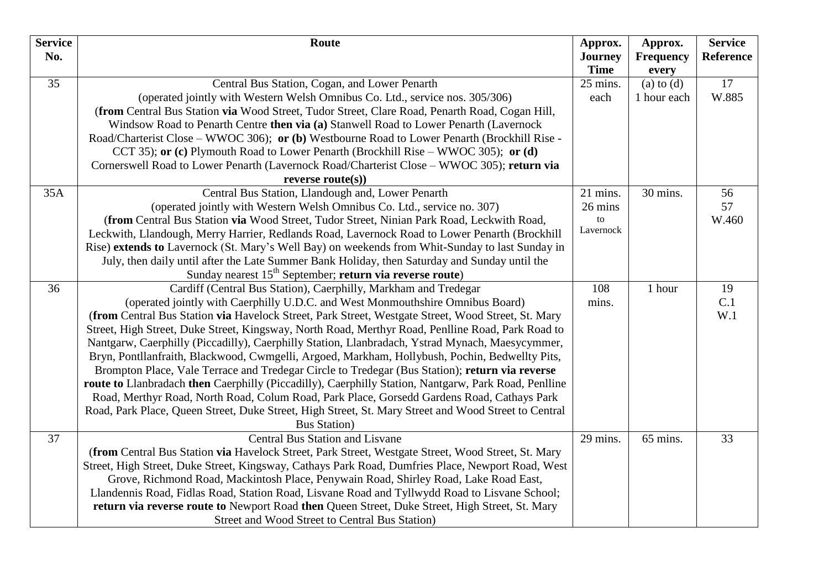| <b>Service</b> | Route                                                                                                                                   | Approx.         | Approx.          | <b>Service</b>   |
|----------------|-----------------------------------------------------------------------------------------------------------------------------------------|-----------------|------------------|------------------|
| No.            |                                                                                                                                         | <b>Journey</b>  | <b>Frequency</b> | <b>Reference</b> |
|                |                                                                                                                                         | <b>Time</b>     | every            |                  |
| 35             | Central Bus Station, Cogan, and Lower Penarth                                                                                           | 25 mins.        | $(a)$ to $(d)$   | 17               |
|                | (operated jointly with Western Welsh Omnibus Co. Ltd., service nos. 305/306)                                                            | each            | 1 hour each      | W.885            |
|                | (from Central Bus Station via Wood Street, Tudor Street, Clare Road, Penarth Road, Cogan Hill,                                          |                 |                  |                  |
|                | Windsow Road to Penarth Centre then via (a) Stanwell Road to Lower Penarth (Lavernock                                                   |                 |                  |                  |
|                | Road/Charterist Close – WWOC 306); or (b) Westbourne Road to Lower Penarth (Brockhill Rise -                                            |                 |                  |                  |
|                | CCT 35); or (c) Plymouth Road to Lower Penarth (Brockhill Rise – WWOC 305); or (d)                                                      |                 |                  |                  |
|                | Cornerswell Road to Lower Penarth (Lavernock Road/Charterist Close – WWOC 305); return via                                              |                 |                  |                  |
|                | reverse $route(s))$                                                                                                                     |                 |                  |                  |
| 35A            | Central Bus Station, Llandough and, Lower Penarth                                                                                       | 21 mins.        | 30 mins.         | 56               |
|                | (operated jointly with Western Welsh Omnibus Co. Ltd., service no. 307)                                                                 | 26 mins         |                  | 57               |
|                | (from Central Bus Station via Wood Street, Tudor Street, Ninian Park Road, Leckwith Road,                                               | to<br>Lavernock |                  | W.460            |
|                | Leckwith, Llandough, Merry Harrier, Redlands Road, Lavernock Road to Lower Penarth (Brockhill                                           |                 |                  |                  |
|                | Rise) extends to Lavernock (St. Mary's Well Bay) on weekends from Whit-Sunday to last Sunday in                                         |                 |                  |                  |
|                | July, then daily until after the Late Summer Bank Holiday, then Saturday and Sunday until the                                           |                 |                  |                  |
| 36             | Sunday nearest 15 <sup>th</sup> September; return via reverse route)<br>Cardiff (Central Bus Station), Caerphilly, Markham and Tredegar | 108             | 1 hour           | 19               |
|                | (operated jointly with Caerphilly U.D.C. and West Monmouthshire Omnibus Board)                                                          | mins.           |                  | C.1              |
|                | (from Central Bus Station via Havelock Street, Park Street, Westgate Street, Wood Street, St. Mary                                      |                 |                  | W.1              |
|                | Street, High Street, Duke Street, Kingsway, North Road, Merthyr Road, Penlline Road, Park Road to                                       |                 |                  |                  |
|                | Nantgarw, Caerphilly (Piccadilly), Caerphilly Station, Llanbradach, Ystrad Mynach, Maesycymmer,                                         |                 |                  |                  |
|                | Bryn, Pontllanfraith, Blackwood, Cwmgelli, Argoed, Markham, Hollybush, Pochin, Bedwellty Pits,                                          |                 |                  |                  |
|                | Brompton Place, Vale Terrace and Tredegar Circle to Tredegar (Bus Station); return via reverse                                          |                 |                  |                  |
|                | route to Llanbradach then Caerphilly (Piccadilly), Caerphilly Station, Nantgarw, Park Road, Penlline                                    |                 |                  |                  |
|                | Road, Merthyr Road, North Road, Colum Road, Park Place, Gorsedd Gardens Road, Cathays Park                                              |                 |                  |                  |
|                | Road, Park Place, Queen Street, Duke Street, High Street, St. Mary Street and Wood Street to Central                                    |                 |                  |                  |
|                | <b>Bus Station</b> )                                                                                                                    |                 |                  |                  |
| 37             | <b>Central Bus Station and Lisvane</b>                                                                                                  | 29 mins.        | 65 mins.         | 33               |
|                | (from Central Bus Station via Havelock Street, Park Street, Westgate Street, Wood Street, St. Mary                                      |                 |                  |                  |
|                | Street, High Street, Duke Street, Kingsway, Cathays Park Road, Dumfries Place, Newport Road, West                                       |                 |                  |                  |
|                | Grove, Richmond Road, Mackintosh Place, Penywain Road, Shirley Road, Lake Road East,                                                    |                 |                  |                  |
|                | Llandennis Road, Fidlas Road, Station Road, Lisvane Road and Tyllwydd Road to Lisvane School;                                           |                 |                  |                  |
|                | return via reverse route to Newport Road then Queen Street, Duke Street, High Street, St. Mary                                          |                 |                  |                  |
|                | Street and Wood Street to Central Bus Station)                                                                                          |                 |                  |                  |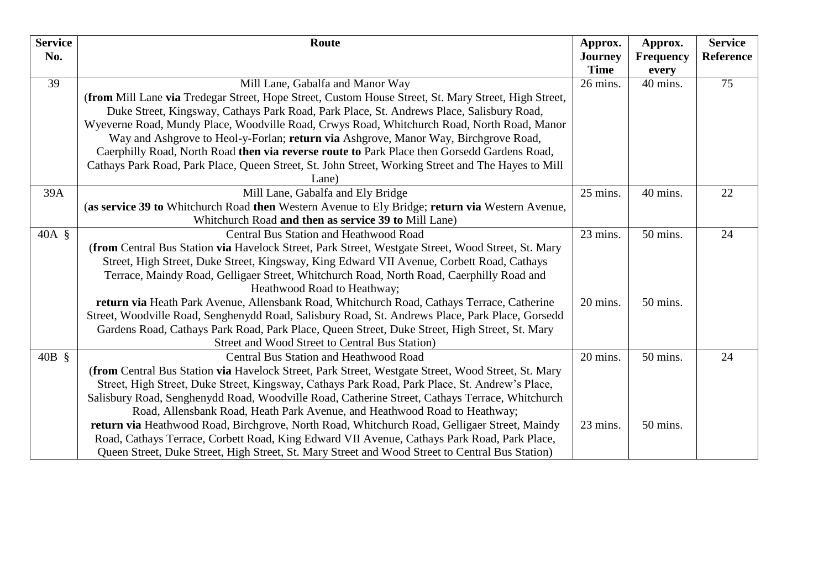| <b>Service</b> | Route                                                                                                       | Approx.        | Approx.          | <b>Service</b> |
|----------------|-------------------------------------------------------------------------------------------------------------|----------------|------------------|----------------|
| No.            |                                                                                                             | <b>Journey</b> | <b>Frequency</b> | Reference      |
|                |                                                                                                             | <b>Time</b>    | every            |                |
| 39             | Mill Lane, Gabalfa and Manor Way                                                                            | 26 mins.       | 40 mins.         | 75             |
|                | (from Mill Lane via Tredegar Street, Hope Street, Custom House Street, St. Mary Street, High Street,        |                |                  |                |
|                | Duke Street, Kingsway, Cathays Park Road, Park Place, St. Andrews Place, Salisbury Road,                    |                |                  |                |
|                | Wyeverne Road, Mundy Place, Woodville Road, Crwys Road, Whitchurch Road, North Road, Manor                  |                |                  |                |
|                | Way and Ashgrove to Heol-y-Forlan; return via Ashgrove, Manor Way, Birchgrove Road,                         |                |                  |                |
|                | Caerphilly Road, North Road then via reverse route to Park Place then Gorsedd Gardens Road,                 |                |                  |                |
|                | Cathays Park Road, Park Place, Queen Street, St. John Street, Working Street and The Hayes to Mill<br>Lane) |                |                  |                |
| 39A            | Mill Lane, Gabalfa and Ely Bridge                                                                           | 25 mins.       | 40 mins.         | 22             |
|                | (as service 39 to Whitchurch Road then Western Avenue to Ely Bridge; return via Western Avenue,             |                |                  |                |
|                | Whitchurch Road and then as service 39 to Mill Lane)                                                        |                |                  |                |
| $40A \S$       | <b>Central Bus Station and Heathwood Road</b>                                                               | 23 mins.       | 50 mins.         | 24             |
|                | (from Central Bus Station via Havelock Street, Park Street, Westgate Street, Wood Street, St. Mary          |                |                  |                |
|                | Street, High Street, Duke Street, Kingsway, King Edward VII Avenue, Corbett Road, Cathays                   |                |                  |                |
|                | Terrace, Maindy Road, Gelligaer Street, Whitchurch Road, North Road, Caerphilly Road and                    |                |                  |                |
|                | Heathwood Road to Heathway;                                                                                 |                |                  |                |
|                | return via Heath Park Avenue, Allensbank Road, Whitchurch Road, Cathays Terrace, Catherine                  | 20 mins.       | 50 mins.         |                |
|                | Street, Woodville Road, Senghenydd Road, Salisbury Road, St. Andrews Place, Park Place, Gorsedd             |                |                  |                |
|                | Gardens Road, Cathays Park Road, Park Place, Queen Street, Duke Street, High Street, St. Mary               |                |                  |                |
|                | Street and Wood Street to Central Bus Station)                                                              |                |                  |                |
| $40B \S$       | Central Bus Station and Heathwood Road                                                                      | 20 mins.       | 50 mins.         | 24             |
|                | (from Central Bus Station via Havelock Street, Park Street, Westgate Street, Wood Street, St. Mary          |                |                  |                |
|                | Street, High Street, Duke Street, Kingsway, Cathays Park Road, Park Place, St. Andrew's Place,              |                |                  |                |
|                | Salisbury Road, Senghenydd Road, Woodville Road, Catherine Street, Cathays Terrace, Whitchurch              |                |                  |                |
|                | Road, Allensbank Road, Heath Park Avenue, and Heathwood Road to Heathway;                                   |                |                  |                |
|                | return via Heathwood Road, Birchgrove, North Road, Whitchurch Road, Gelligaer Street, Maindy                | 23 mins.       | 50 mins.         |                |
|                | Road, Cathays Terrace, Corbett Road, King Edward VII Avenue, Cathays Park Road, Park Place,                 |                |                  |                |
|                | Queen Street, Duke Street, High Street, St. Mary Street and Wood Street to Central Bus Station)             |                |                  |                |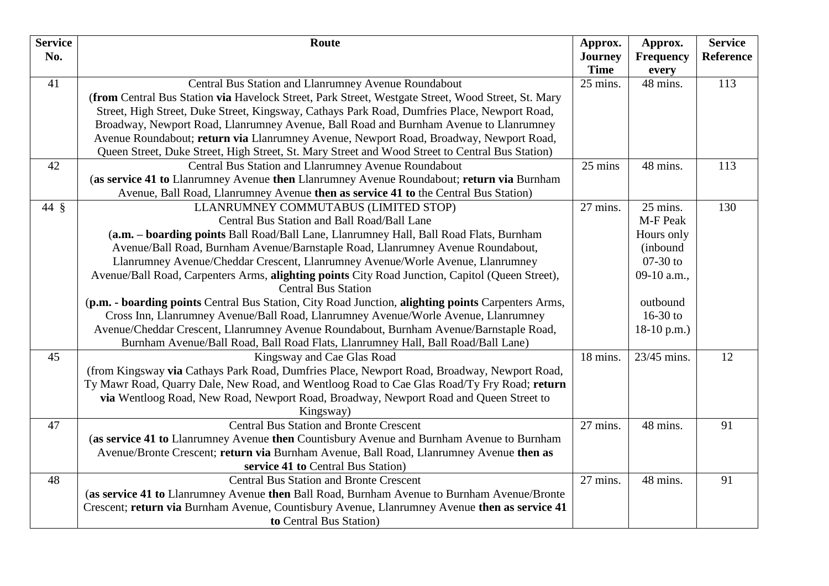| <b>Service</b> | Route                                                                                              | Approx.                       | Approx.                   | <b>Service</b> |
|----------------|----------------------------------------------------------------------------------------------------|-------------------------------|---------------------------|----------------|
| No.            |                                                                                                    | <b>Journey</b><br><b>Time</b> | <b>Frequency</b><br>every | Reference      |
| 41             | Central Bus Station and Llanrumney Avenue Roundabout                                               | 25 mins.                      | 48 mins.                  | 113            |
|                | (from Central Bus Station via Havelock Street, Park Street, Westgate Street, Wood Street, St. Mary |                               |                           |                |
|                | Street, High Street, Duke Street, Kingsway, Cathays Park Road, Dumfries Place, Newport Road,       |                               |                           |                |
|                | Broadway, Newport Road, Llanrumney Avenue, Ball Road and Burnham Avenue to Llanrumney              |                               |                           |                |
|                | Avenue Roundabout; return via Llanrumney Avenue, Newport Road, Broadway, Newport Road,             |                               |                           |                |
|                | Queen Street, Duke Street, High Street, St. Mary Street and Wood Street to Central Bus Station)    |                               |                           |                |
| 42             | Central Bus Station and Llanrumney Avenue Roundabout                                               | 25 mins                       | 48 mins.                  | 113            |
|                | (as service 41 to Llanrumney Avenue then Llanrumney Avenue Roundabout; return via Burnham          |                               |                           |                |
|                | Avenue, Ball Road, Llanrumney Avenue then as service 41 to the Central Bus Station)                |                               |                           |                |
| 44 §           | LLANRUMNEY COMMUTABUS (LIMITED STOP)                                                               | 27 mins.                      | 25 mins.                  | 130            |
|                | Central Bus Station and Ball Road/Ball Lane                                                        |                               | M-F Peak                  |                |
|                | (a.m. - boarding points Ball Road/Ball Lane, Llanrumney Hall, Ball Road Flats, Burnham             |                               | Hours only                |                |
|                | Avenue/Ball Road, Burnham Avenue/Barnstaple Road, Llanrumney Avenue Roundabout,                    |                               | (inbound                  |                |
|                | Llanrumney Avenue/Cheddar Crescent, Llanrumney Avenue/Worle Avenue, Llanrumney                     |                               | $07-30$ to                |                |
|                | Avenue/Ball Road, Carpenters Arms, alighting points City Road Junction, Capitol (Queen Street),    |                               | 09-10 a.m.,               |                |
|                | <b>Central Bus Station</b>                                                                         |                               |                           |                |
|                | (p.m. - boarding points Central Bus Station, City Road Junction, alighting points Carpenters Arms, |                               | outbound                  |                |
|                | Cross Inn, Llanrumney Avenue/Ball Road, Llanrumney Avenue/Worle Avenue, Llanrumney                 |                               | 16-30 to                  |                |
|                | Avenue/Cheddar Crescent, Llanrumney Avenue Roundabout, Burnham Avenue/Barnstaple Road,             |                               | $18-10$ p.m.)             |                |
|                | Burnham Avenue/Ball Road, Ball Road Flats, Llanrumney Hall, Ball Road/Ball Lane)                   |                               |                           |                |
| 45             | Kingsway and Cae Glas Road                                                                         | 18 mins.                      | 23/45 mins.               | 12             |
|                | (from Kingsway via Cathays Park Road, Dumfries Place, Newport Road, Broadway, Newport Road,        |                               |                           |                |
|                | Ty Mawr Road, Quarry Dale, New Road, and Wentloog Road to Cae Glas Road/Ty Fry Road; return        |                               |                           |                |
|                | via Wentloog Road, New Road, Newport Road, Broadway, Newport Road and Queen Street to              |                               |                           |                |
|                | Kingsway)                                                                                          |                               |                           |                |
| 47             | <b>Central Bus Station and Bronte Crescent</b>                                                     | 27 mins.                      | 48 mins.                  | 91             |
|                | (as service 41 to Llanrumney Avenue then Countisbury Avenue and Burnham Avenue to Burnham          |                               |                           |                |
|                | Avenue/Bronte Crescent; return via Burnham Avenue, Ball Road, Llanrumney Avenue then as            |                               |                           |                |
|                | service 41 to Central Bus Station)                                                                 |                               |                           |                |
| 48             | <b>Central Bus Station and Bronte Crescent</b>                                                     | 27 mins.                      | 48 mins.                  | 91             |
|                | (as service 41 to Llanrumney Avenue then Ball Road, Burnham Avenue to Burnham Avenue/Bronte        |                               |                           |                |
|                | Crescent; return via Burnham Avenue, Countisbury Avenue, Llanrumney Avenue then as service 41      |                               |                           |                |
|                | to Central Bus Station)                                                                            |                               |                           |                |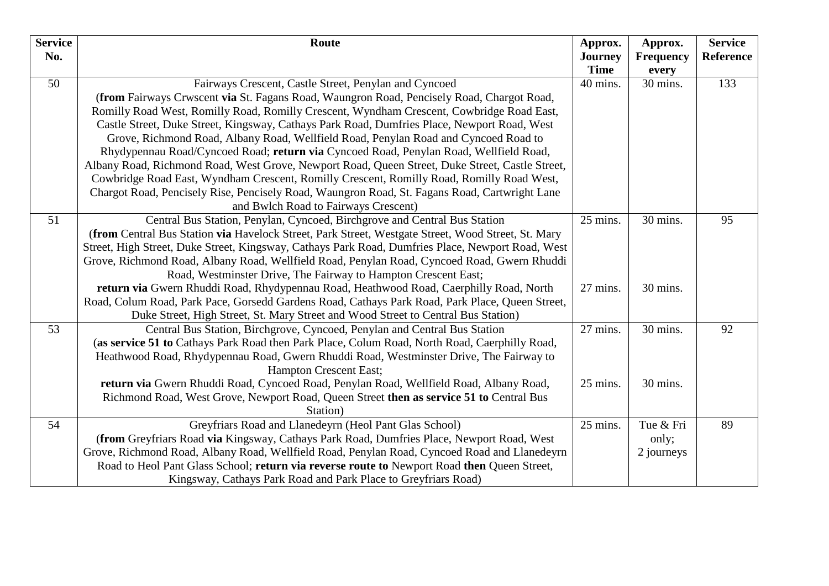| <b>Service</b> | Route                                                                                              | Approx.                       | Approx.                   | <b>Service</b> |
|----------------|----------------------------------------------------------------------------------------------------|-------------------------------|---------------------------|----------------|
| No.            |                                                                                                    | <b>Journey</b><br><b>Time</b> | <b>Frequency</b><br>every | Reference      |
| 50             | Fairways Crescent, Castle Street, Penylan and Cyncoed                                              | 40 mins.                      | 30 mins.                  | 133            |
|                | (from Fairways Crwscent via St. Fagans Road, Waungron Road, Pencisely Road, Chargot Road,          |                               |                           |                |
|                | Romilly Road West, Romilly Road, Romilly Crescent, Wyndham Crescent, Cowbridge Road East,          |                               |                           |                |
|                | Castle Street, Duke Street, Kingsway, Cathays Park Road, Dumfries Place, Newport Road, West        |                               |                           |                |
|                | Grove, Richmond Road, Albany Road, Wellfield Road, Penylan Road and Cyncoed Road to                |                               |                           |                |
|                | Rhydypennau Road/Cyncoed Road; return via Cyncoed Road, Penylan Road, Wellfield Road,              |                               |                           |                |
|                | Albany Road, Richmond Road, West Grove, Newport Road, Queen Street, Duke Street, Castle Street,    |                               |                           |                |
|                | Cowbridge Road East, Wyndham Crescent, Romilly Crescent, Romilly Road, Romilly Road West,          |                               |                           |                |
|                | Chargot Road, Pencisely Rise, Pencisely Road, Waungron Road, St. Fagans Road, Cartwright Lane      |                               |                           |                |
|                | and Bwlch Road to Fairways Crescent)                                                               |                               |                           |                |
| 51             | Central Bus Station, Penylan, Cyncoed, Birchgrove and Central Bus Station                          | 25 mins.                      | 30 mins.                  | 95             |
|                | (from Central Bus Station via Havelock Street, Park Street, Westgate Street, Wood Street, St. Mary |                               |                           |                |
|                | Street, High Street, Duke Street, Kingsway, Cathays Park Road, Dumfries Place, Newport Road, West  |                               |                           |                |
|                | Grove, Richmond Road, Albany Road, Wellfield Road, Penylan Road, Cyncoed Road, Gwern Rhuddi        |                               |                           |                |
|                | Road, Westminster Drive, The Fairway to Hampton Crescent East;                                     |                               |                           |                |
|                | return via Gwern Rhuddi Road, Rhydypennau Road, Heathwood Road, Caerphilly Road, North             | 27 mins.                      | 30 mins.                  |                |
|                | Road, Colum Road, Park Pace, Gorsedd Gardens Road, Cathays Park Road, Park Place, Queen Street,    |                               |                           |                |
|                | Duke Street, High Street, St. Mary Street and Wood Street to Central Bus Station)                  |                               |                           |                |
| 53             | Central Bus Station, Birchgrove, Cyncoed, Penylan and Central Bus Station                          | 27 mins.                      | 30 mins.                  | 92             |
|                | (as service 51 to Cathays Park Road then Park Place, Colum Road, North Road, Caerphilly Road,      |                               |                           |                |
|                | Heathwood Road, Rhydypennau Road, Gwern Rhuddi Road, Westminster Drive, The Fairway to             |                               |                           |                |
|                | Hampton Crescent East;                                                                             |                               |                           |                |
|                | return via Gwern Rhuddi Road, Cyncoed Road, Penylan Road, Wellfield Road, Albany Road,             | 25 mins.                      | 30 mins.                  |                |
|                | Richmond Road, West Grove, Newport Road, Queen Street then as service 51 to Central Bus            |                               |                           |                |
|                | Station)                                                                                           |                               |                           |                |
| 54             | Greyfriars Road and Llanedeyrn (Heol Pant Glas School)                                             | 25 mins.                      | Tue & Fri                 | 89             |
|                | (from Greyfriars Road via Kingsway, Cathays Park Road, Dumfries Place, Newport Road, West          |                               | only;                     |                |
|                | Grove, Richmond Road, Albany Road, Wellfield Road, Penylan Road, Cyncoed Road and Llanedeyrn       |                               | 2 journeys                |                |
|                | Road to Heol Pant Glass School; return via reverse route to Newport Road then Queen Street,        |                               |                           |                |
|                | Kingsway, Cathays Park Road and Park Place to Greyfriars Road)                                     |                               |                           |                |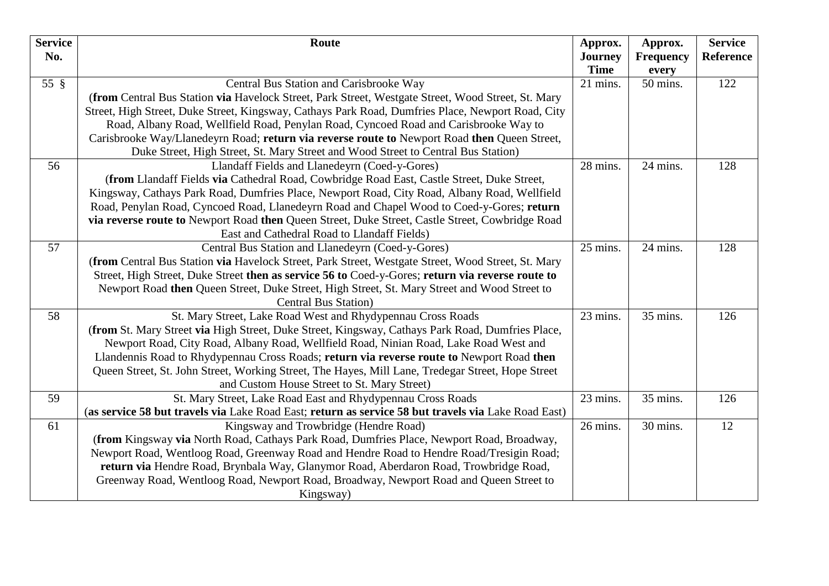| <b>Service</b> | Route                                                                                               | Approx.                 | Approx.           | <b>Service</b> |
|----------------|-----------------------------------------------------------------------------------------------------|-------------------------|-------------------|----------------|
| No.            |                                                                                                     | <b>Journey</b>          | <b>Frequency</b>  | Reference      |
| $55 \text{ }$  | Central Bus Station and Carisbrooke Way                                                             | <b>Time</b><br>21 mins. | every<br>50 mins. | 122            |
|                | (from Central Bus Station via Havelock Street, Park Street, Westgate Street, Wood Street, St. Mary  |                         |                   |                |
|                | Street, High Street, Duke Street, Kingsway, Cathays Park Road, Dumfries Place, Newport Road, City   |                         |                   |                |
|                | Road, Albany Road, Wellfield Road, Penylan Road, Cyncoed Road and Carisbrooke Way to                |                         |                   |                |
|                | Carisbrooke Way/Llanedeyrn Road; return via reverse route to Newport Road then Queen Street,        |                         |                   |                |
|                | Duke Street, High Street, St. Mary Street and Wood Street to Central Bus Station)                   |                         |                   |                |
| 56             | Llandaff Fields and Llanedeyrn (Coed-y-Gores)                                                       | 28 mins.                | 24 mins.          | 128            |
|                | (from Llandaff Fields via Cathedral Road, Cowbridge Road East, Castle Street, Duke Street,          |                         |                   |                |
|                | Kingsway, Cathays Park Road, Dumfries Place, Newport Road, City Road, Albany Road, Wellfield        |                         |                   |                |
|                | Road, Penylan Road, Cyncoed Road, Llanedeyrn Road and Chapel Wood to Coed-y-Gores; return           |                         |                   |                |
|                | via reverse route to Newport Road then Queen Street, Duke Street, Castle Street, Cowbridge Road     |                         |                   |                |
|                | East and Cathedral Road to Llandaff Fields)                                                         |                         |                   |                |
| 57             | Central Bus Station and Llanedeyrn (Coed-y-Gores)                                                   | 25 mins.                | 24 mins.          | 128            |
|                | (from Central Bus Station via Havelock Street, Park Street, Westgate Street, Wood Street, St. Mary  |                         |                   |                |
|                | Street, High Street, Duke Street then as service 56 to Coed-y-Gores; return via reverse route to    |                         |                   |                |
|                | Newport Road then Queen Street, Duke Street, High Street, St. Mary Street and Wood Street to        |                         |                   |                |
|                | <b>Central Bus Station</b> )                                                                        |                         |                   |                |
| 58             | St. Mary Street, Lake Road West and Rhydypennau Cross Roads                                         | 23 mins.                | 35 mins.          | 126            |
|                | (from St. Mary Street via High Street, Duke Street, Kingsway, Cathays Park Road, Dumfries Place,    |                         |                   |                |
|                | Newport Road, City Road, Albany Road, Wellfield Road, Ninian Road, Lake Road West and               |                         |                   |                |
|                | Llandennis Road to Rhydypennau Cross Roads; return via reverse route to Newport Road then           |                         |                   |                |
|                | Queen Street, St. John Street, Working Street, The Hayes, Mill Lane, Tredegar Street, Hope Street   |                         |                   |                |
|                | and Custom House Street to St. Mary Street)                                                         |                         |                   |                |
| 59             | St. Mary Street, Lake Road East and Rhydypennau Cross Roads                                         | 23 mins.                | 35 mins.          | 126            |
|                | (as service 58 but travels via Lake Road East; return as service 58 but travels via Lake Road East) |                         |                   |                |
| 61             | Kingsway and Trowbridge (Hendre Road)                                                               | 26 mins.                | 30 mins.          | 12             |
|                | (from Kingsway via North Road, Cathays Park Road, Dumfries Place, Newport Road, Broadway,           |                         |                   |                |
|                | Newport Road, Wentloog Road, Greenway Road and Hendre Road to Hendre Road/Tresigin Road;            |                         |                   |                |
|                | return via Hendre Road, Brynbala Way, Glanymor Road, Aberdaron Road, Trowbridge Road,               |                         |                   |                |
|                | Greenway Road, Wentloog Road, Newport Road, Broadway, Newport Road and Queen Street to              |                         |                   |                |
|                | Kingsway)                                                                                           |                         |                   |                |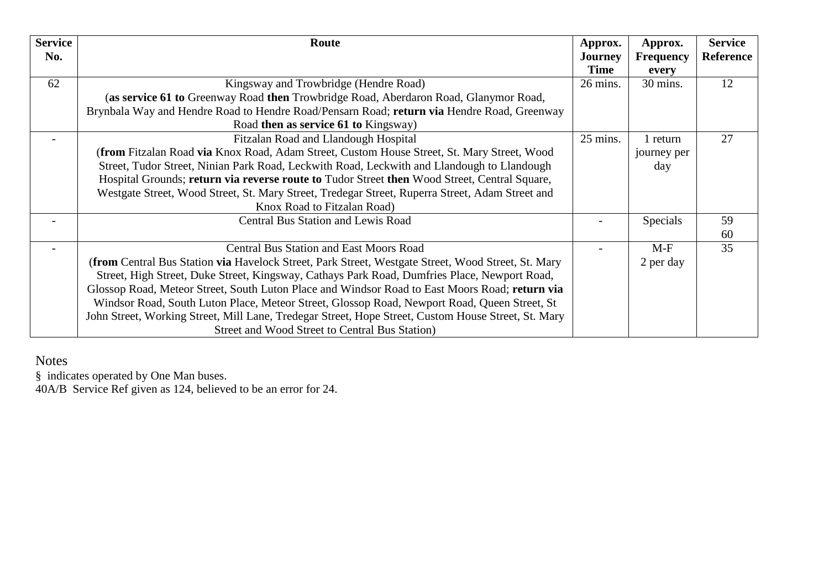| <b>Service</b> | Route                                                                                                     | Approx.            | Approx.          | <b>Service</b>   |
|----------------|-----------------------------------------------------------------------------------------------------------|--------------------|------------------|------------------|
| No.            |                                                                                                           | <b>Journey</b>     | <b>Frequency</b> | <b>Reference</b> |
|                |                                                                                                           | <b>Time</b>        | every            |                  |
| 62             | Kingsway and Trowbridge (Hendre Road)                                                                     | $26 \text{ mins}.$ | 30 mins.         | 12               |
|                | (as service 61 to Greenway Road then Trowbridge Road, Aberdaron Road, Glanymor Road,                      |                    |                  |                  |
|                | Brynbala Way and Hendre Road to Hendre Road/Pensarn Road; return via Hendre Road, Greenway                |                    |                  |                  |
|                | Road then as service 61 to Kingsway)                                                                      |                    |                  |                  |
|                | Fitzalan Road and Llandough Hospital                                                                      | 25 mins.           | 1 return         | 27               |
|                | (from Fitzalan Road via Knox Road, Adam Street, Custom House Street, St. Mary Street, Wood                |                    | journey per      |                  |
|                | Street, Tudor Street, Ninian Park Road, Leckwith Road, Leckwith and Llandough to Llandough                |                    | day              |                  |
|                | Hospital Grounds; return via reverse route to Tudor Street then Wood Street, Central Square,              |                    |                  |                  |
|                | Westgate Street, Wood Street, St. Mary Street, Tredegar Street, Ruperra Street, Adam Street and           |                    |                  |                  |
|                | Knox Road to Fitzalan Road)                                                                               |                    |                  |                  |
|                | <b>Central Bus Station and Lewis Road</b>                                                                 |                    | Specials         | 59               |
|                |                                                                                                           |                    |                  | 60               |
|                | <b>Central Bus Station and East Moors Road</b>                                                            |                    | $M-F$            | 35               |
|                | <b>(from Central Bus Station via Havelock Street, Park Street, Westgate Street, Wood Street, St. Mary</b> |                    | 2 per day        |                  |
|                | Street, High Street, Duke Street, Kingsway, Cathays Park Road, Dumfries Place, Newport Road,              |                    |                  |                  |
|                | Glossop Road, Meteor Street, South Luton Place and Windsor Road to East Moors Road; return via            |                    |                  |                  |
|                | Windsor Road, South Luton Place, Meteor Street, Glossop Road, Newport Road, Queen Street, St              |                    |                  |                  |
|                | John Street, Working Street, Mill Lane, Tredegar Street, Hope Street, Custom House Street, St. Mary       |                    |                  |                  |
|                | Street and Wood Street to Central Bus Station)                                                            |                    |                  |                  |

Notes

§ indicates operated by One Man buses.

40A/B Service Ref given as 124, believed to be an error for 24.